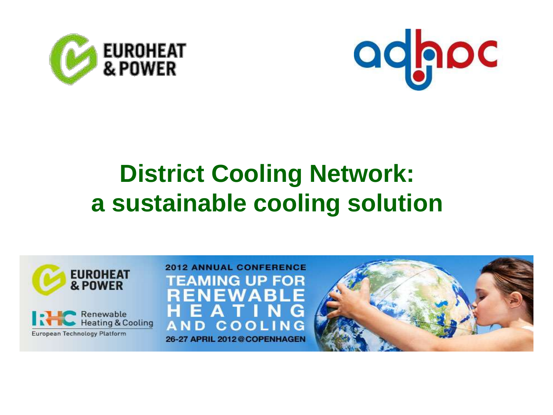



# **District Cooling Network: a sustainable cooling solution**



**2012 ANNUAL CONFERENCE TEAMING UP FOR**  $ABL$ G COOLING D 26-27 APRIL 2012@COPENHAGEN

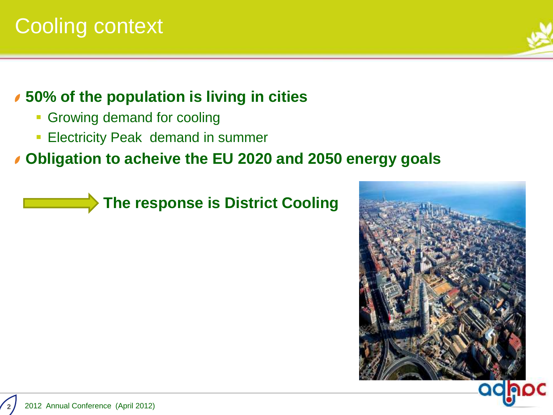# Cooling context



### **50% of the population is living in cities**

- **Growing demand for cooling**
- **Electricity Peak demand in summer**

#### **Obligation to acheive the EU 2020 and 2050 energy goals**

 **The response is District Cooling**

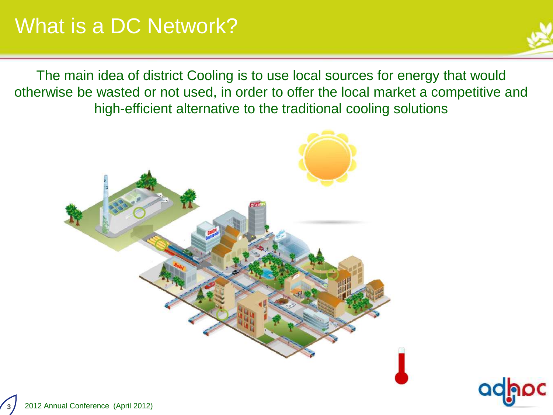The main idea of district Cooling is to use local sources for energy that would otherwise be wasted or not used, in order to offer the local market a competitive and high-efficient alternative to the traditional cooling solutions



**3** 2012 Annual Conference (April 2012)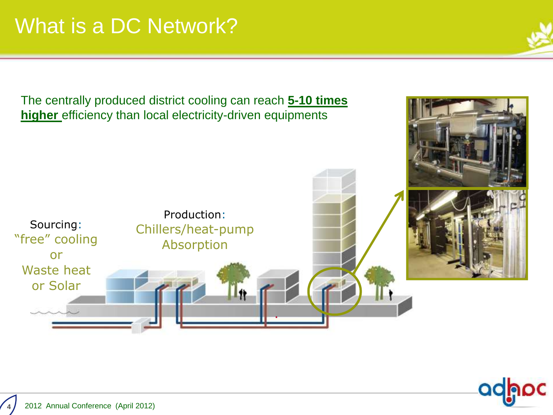The centrally produced district cooling can reach **5-10 times higher** efficiency than local electricity-driven equipments Production: Sourcing: Chillers/heat-pump "free" cooling Absorption or Waste heat or Solar  $\mathbf{I}$ .

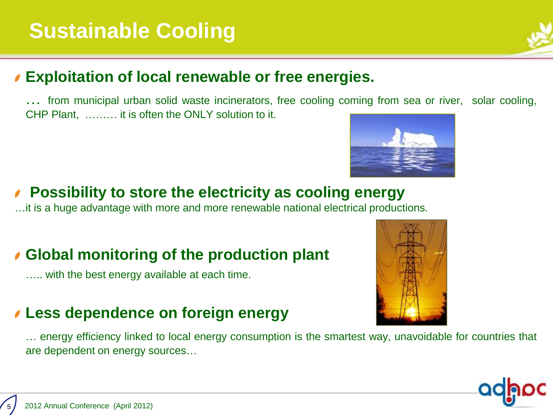# **Sustainable Cooling**

#### **Exploitation of local renewable or free energies.**

… from municipal urban solid waste incinerators, free cooling coming from sea or river, solar cooling, CHP Plant, ……… it is often the ONLY solution to it.

#### **Possibility to store the electricity as cooling energy**

…it is a huge advantage with more and more renewable national electrical productions.

### **Global monitoring of the production plant**

….. with the best energy available at each time.

### **Less dependence on foreign energy**

… energy efficiency linked to local energy consumption is the smartest way, unavoidable for countries that are dependent on energy sources…